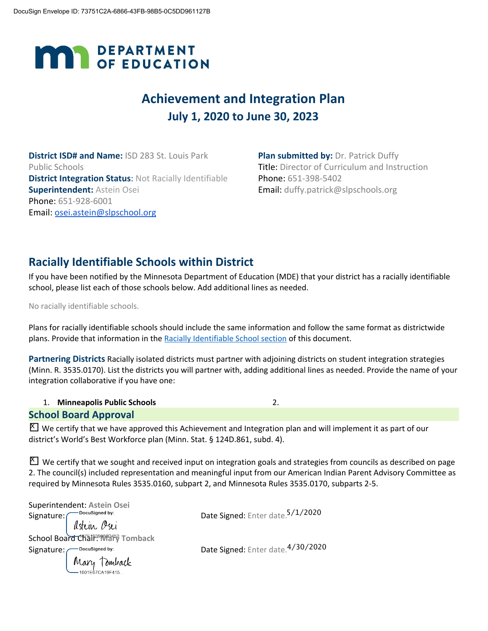# **MAN** DEPARTMENT

# **Achievement and Integration Plan July 1, 2020 to June 30, 2023**

**District ISD# and Name:** ISD 283 St. Louis Park Public Schools **District Integration Status**: Not Racially Identifiable **Superintendent:** Astein Osei Phone: 651-928-6001 Email: [osei.astein@slpschool.org](mailto:osei.astein@slpschool.org)

**Plan submitted by: Dr. Patrick Duffy** Title: Director of Curriculum and Instruction Phone: 651-398-5402 Email: duffy.patrick@slpschools.org

# **Racially Identifiable Schools within District**

If you have been notified by the Minnesota Department of Education (MDE) that your district has a racially identifiable school, please list each of those schools below. Add additional lines as needed.

No racially identifiable schools.

Plans for racially identifiable schools should include the same information and follow the same format as districtwide plans. Provide that information in the Racially Identifiable School section of this document.

**Partnering Districts** Racially isolated districts must partner with adjoining districts on student integration strategies (Minn. R. 3535.0170). List the districts you will partner with, adding additional lines as needed. Provide the name of your integration collaborative if you have one:

|  | <b>Minneapolis Public Schools</b> |  |
|--|-----------------------------------|--|
|--|-----------------------------------|--|

#### **School Board Approval**

 $\Sigma$  We certify that we have approved this Achievement and Integration plan and will implement it as part of our district's World's Best Workforce plan (Minn. Stat. § 124D.861, subd. 4).

 $\Sigma$  We certify that we sought and received input on integration goals and strategies from councils as described on page 2. The council(s) included representation and meaningful input from our American Indian Parent Advisory Committee as required by Minnesota Rules 3535.0160, subpart 2, and Minnesota Rules 3535.0170, subparts 2-5.

| Superintendent: Astein Osei                                  |                                              |
|--------------------------------------------------------------|----------------------------------------------|
|                                                              | Date Signed: Enter date. <sup>5/1/2020</sup> |
| Signature: Docusigned by:<br>School Board Chain: 05U         |                                              |
|                                                              |                                              |
|                                                              | Date Signed: Enter date. 4/30/2020           |
| Signature: Docusigned by:<br>Mary Tomback<br>1601E67CA19F415 |                                              |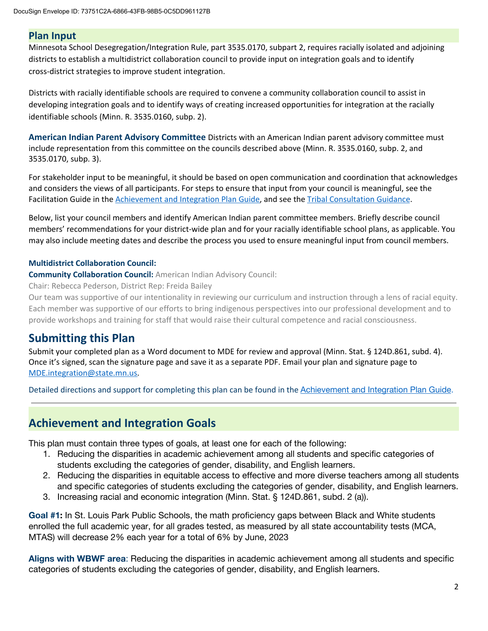#### **Plan Input**

Minnesota School Desegregation/Integration Rule, part 3535.0170, subpart 2, requires racially isolated and adjoining districts to establish a multidistrict collaboration council to provide input on integration goals and to identify cross-district strategies to improve student integration.

Districts with racially identifiable schools are required to convene a community collaboration council to assist in developing integration goals and to identify ways of creating increased opportunities for integration at the racially identifiable schools (Minn. R. 3535.0160, subp. 2).

**American Indian Parent Advisory Committee** Districts with an American Indian parent advisory committee must include representation from this committee on the councils described above (Minn. R. 3535.0160, subp. 2, and 3535.0170, subp. 3).

For stakeholder input to be meaningful, it should be based on open communication and coordination that acknowledges and considers the views of all participants. For steps to ensure that input from your council is meaningful, see the Facilitation Guide in the [Achievement](https://education.mn.gov/mdeprod/idcplg?IdcService=GET_FILE&dDocName=MDE059117&RevisionSelectionMethod=latestReleased&Rendition=primary) and Integration Plan Guide, and see the Tribal [Consultation](http://education.state.mn.us/mdeprod/idcplg?IdcService=GET_FILE&dDocName=mde072001&RevisionSelectionMethod=latestReleased&Rendition=primary) Guidance.

Below, list your council members and identify American Indian parent committee members. Briefly describe council members' recommendations for your district-wide plan and for your racially identifiable school plans, as applicable. You may also include meeting dates and describe the process you used to ensure meaningful input from council members.

#### **Multidistrict Collaboration Council:**

**Community Collaboration Council:** American Indian Advisory Council:

Chair: Rebecca Pederson, District Rep: Freida Bailey

Our team was supportive of our intentionality in reviewing our curriculum and instruction through a lens of racial equity. Each member was supportive of our efforts to bring indigenous perspectives into our professional development and to provide workshops and training for staff that would raise their cultural competence and racial consciousness.

# **Submitting this Plan**

Submit your completed plan as a Word document to MDE for review and approval (Minn. Stat. § 124D.861, subd. 4). Once it's signed, scan the signature page and save it as a separate PDF. Email your plan and signature page to [MDE.integration@state.mn.us](mailto:MDE.integration@state.mn.us).

Detailed directions and support for completing this plan can be found in the [Achievement and Integration Plan Guide](https://education.mn.gov/mdeprod/idcplg?IdcService=GET_FILE&dDocName=MDE059117&RevisionSelectionMethod=latestReleased&Rendition=primary).

# **Achievement and Integration Goals**

This plan must contain three types of goals, at least one for each of the following:

- 1. Reducing the disparities in academic achievement among all students and specific categories of students excluding the categories of gender, disability, and English learners.
- 2. Reducing the disparities in equitable access to effective and more diverse teachers among all students and specific categories of students excluding the categories of gender, disability, and English learners.
- 3. Increasing racial and economic integration (Minn. Stat. § 124D.861, subd. 2 (a)).

**Goal #1:** In St. Louis Park Public Schools, the math proficiency gaps between Black and White students enrolled the full academic year, for all grades tested, as measured by all state accountability tests (MCA, MTAS) will decrease 2% each year for a total of 6% by June, 2023

**Aligns with WBWF area**: Reducing the disparities in academic achievement among all students and specific categories of students excluding the categories of gender, disability, and English learners.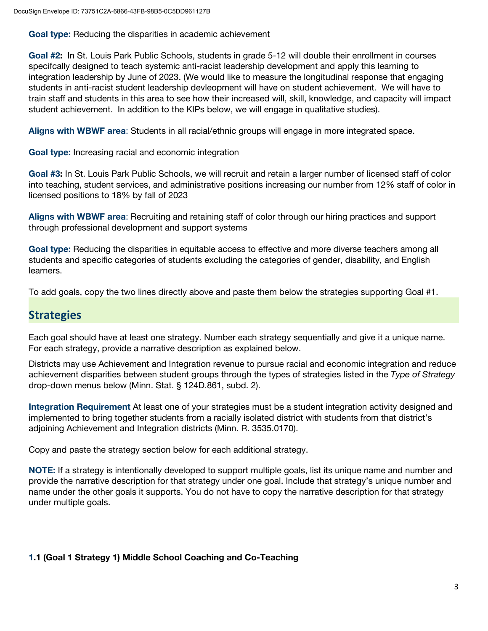**Goal type:** Reducing the disparities in academic achievement

**Goal #2:** In St. Louis Park Public Schools, students in grade 5-12 will double their enrollment in courses specifcally designed to teach systemic anti-racist leadership development and apply this learning to integration leadership by June of 2023. (We would like to measure the longitudinal response that engaging students in anti-racist student leadership devleopment will have on student achievement. We will have to train staff and students in this area to see how their increased will, skill, knowledge, and capacity will impact student achievement. In addition to the KIPs below, we will engage in qualitative studies).

**Aligns with WBWF area**: Students in all racial/ethnic groups will engage in more integrated space.

**Goal type:** Increasing racial and economic integration

**Goal #3:** In St. Louis Park Public Schools, we will recruit and retain a larger number of licensed staff of color into teaching, student services, and administrative positions increasing our number from 12% staff of color in licensed positions to 18% by fall of 2023

**Aligns with WBWF area**: Recruiting and retaining staff of color through our hiring practices and support through professional development and support systems

**Goal type:** Reducing the disparities in equitable access to effective and more diverse teachers among all students and specific categories of students excluding the categories of gender, disability, and English learners.

To add goals, copy the two lines directly above and paste them below the strategies supporting Goal #1.

## **Strategies**

Each goal should have at least one strategy. Number each strategy sequentially and give it a unique name. For each strategy, provide a narrative description as explained below.

Districts may use Achievement and Integration revenue to pursue racial and economic integration and reduce achievement disparities between student groups through the types of strategies listed in the *Type of Strategy* drop-down menus below (Minn. Stat. § 124D.861, subd. 2).

**Integration Requirement** At least one of your strategies must be a student integration activity designed and implemented to bring together students from a racially isolated district with students from that district's adjoining Achievement and Integration districts (Minn. R. 3535.0170).

Copy and paste the strategy section below for each additional strategy.

**NOTE:** If a strategy is intentionally developed to support multiple goals, list its unique name and number and provide the narrative description for that strategy under one goal. Include that strategy's unique number and name under the other goals it supports. You do not have to copy the narrative description for that strategy under multiple goals.

#### **1.1 (Goal 1 Strategy 1) Middle School Coaching and Co-Teaching**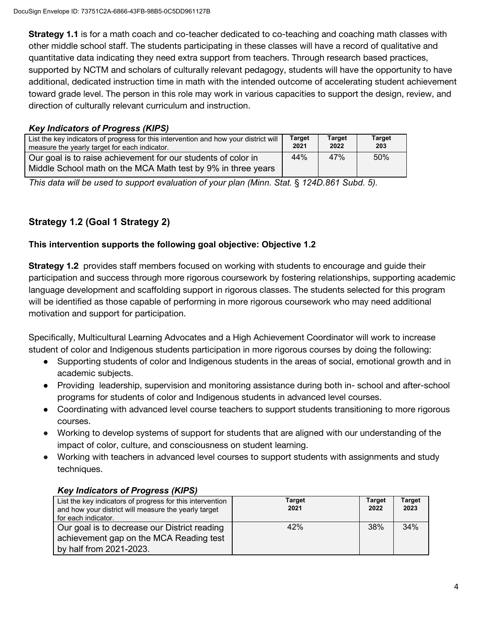**Strategy 1.1** is for a math coach and co-teacher dedicated to co-teaching and coaching math classes with other middle school staff. The students participating in these classes will have a record of qualitative and quantitative data indicating they need extra support from teachers. Through research based practices, supported by NCTM and scholars of culturally relevant pedagogy, students will have the opportunity to have additional, dedicated instruction time in math with the intended outcome of accelerating student achievement toward grade level. The person in this role may work in various capacities to support the design, review, and direction of culturally relevant curriculum and instruction.

#### *Key Indicators of Progress (KIPS)*

| List the key indicators of progress for this intervention and how your district will<br>measure the yearly target for each indicator. | <b>Target</b><br>2021 | <b>Target</b><br>2022 | <b>Target</b><br>203 |
|---------------------------------------------------------------------------------------------------------------------------------------|-----------------------|-----------------------|----------------------|
| Our goal is to raise achievement for our students of color in<br>Middle School math on the MCA Math test by 9% in three years         | 44%                   | 47%                   | 50%                  |

*This data will be used to support evaluation of your plan (Minn. Stat.* § *124D.861 Subd. 5).*

## **Strategy 1.2 (Goal 1 Strategy 2)**

#### **This intervention supports the following goal objective: Objective 1.2**

**Strategy 1.2** provides staff members focused on working with students to encourage and guide their participation and success through more rigorous coursework by fostering relationships, supporting academic language development and scaffolding support in rigorous classes. The students selected for this program will be identified as those capable of performing in more rigorous coursework who may need additional motivation and support for participation.

Specifically, Multicultural Learning Advocates and a High Achievement Coordinator will work to increase student of color and Indigenous students participation in more rigorous courses by doing the following:

- Supporting students of color and Indigenous students in the areas of social, emotional growth and in academic subjects.
- Providing leadership, supervision and monitoring assistance during both in- school and after-school programs for students of color and Indigenous students in advanced level courses.
- Coordinating with advanced level course teachers to support students transitioning to more rigorous courses.
- Working to develop systems of support for students that are aligned with our understanding of the impact of color, culture, and consciousness on student learning.
- Working with teachers in advanced level courses to support students with assignments and study techniques.

### *Key Indicators of Progress (KIPS)*

| List the key indicators of progress for this intervention<br>and how your district will measure the yearly target<br>for each indicator. | Target<br>2021 | <b>Target</b><br>2022 | <b>Target</b><br>2023 |
|------------------------------------------------------------------------------------------------------------------------------------------|----------------|-----------------------|-----------------------|
| Our goal is to decrease our District reading                                                                                             | 42%            | 38%                   | 34%                   |
| achievement gap on the MCA Reading test                                                                                                  |                |                       |                       |
| by half from 2021-2023.                                                                                                                  |                |                       |                       |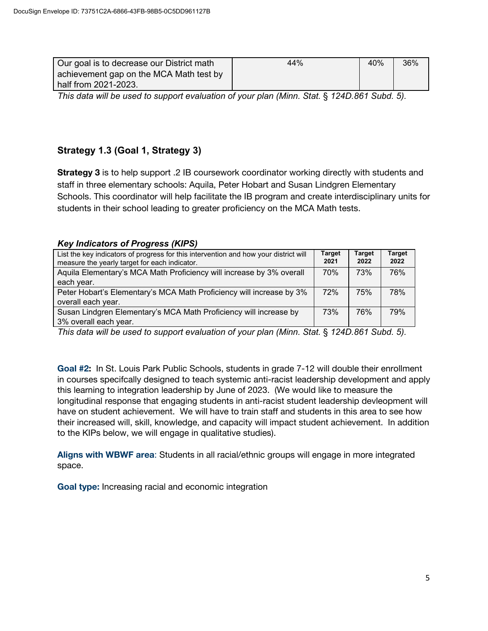| Our goal is to decrease our District math | 44% | 40% | 36% |
|-------------------------------------------|-----|-----|-----|
| achievement gap on the MCA Math test by   |     |     |     |
| half from 2021-2023.                      |     |     |     |

*This data will be used to support evaluation of your plan (Minn. Stat.* § *124D.861 Subd. 5).*

## **Strategy 1.3 (Goal 1, Strategy 3)**

**Strategy 3** is to help support .2 IB coursework coordinator working directly with students and staff in three elementary schools: Aquila, Peter Hobart and Susan Lindgren Elementary Schools. This coordinator will help facilitate the IB program and create interdisciplinary units for students in their school leading to greater proficiency on the MCA Math tests.

#### *Key Indicators of Progress (KIPS)*

| List the key indicators of progress for this intervention and how your district will<br>measure the yearly target for each indicator. | <b>Target</b><br>2021 | <b>Target</b><br>2022 | <b>Target</b><br>2022 |
|---------------------------------------------------------------------------------------------------------------------------------------|-----------------------|-----------------------|-----------------------|
| Aquila Elementary's MCA Math Proficiency will increase by 3% overall                                                                  | 70%                   | 73%                   | 76%                   |
| each year.                                                                                                                            |                       |                       |                       |
| Peter Hobart's Elementary's MCA Math Proficiency will increase by 3%                                                                  | 72%                   | 75%                   | 78%                   |
| overall each year.                                                                                                                    |                       |                       |                       |
| Susan Lindgren Elementary's MCA Math Proficiency will increase by                                                                     | 73%                   | 76%                   | 79%                   |
| 3% overall each year.                                                                                                                 |                       |                       |                       |

*This data will be used to support evaluation of your plan (Minn. Stat.* § *124D.861 Subd. 5).*

**Goal #2:** In St. Louis Park Public Schools, students in grade 7-12 will double their enrollment in courses specifcally designed to teach systemic anti-racist leadership development and apply this learning to integration leadership by June of 2023. (We would like to measure the longitudinal response that engaging students in anti-racist student leadership devleopment will have on student achievement. We will have to train staff and students in this area to see how their increased will, skill, knowledge, and capacity will impact student achievement. In addition to the KIPs below, we will engage in qualitative studies).

**Aligns with WBWF area**: Students in all racial/ethnic groups will engage in more integrated space.

**Goal type:** Increasing racial and economic integration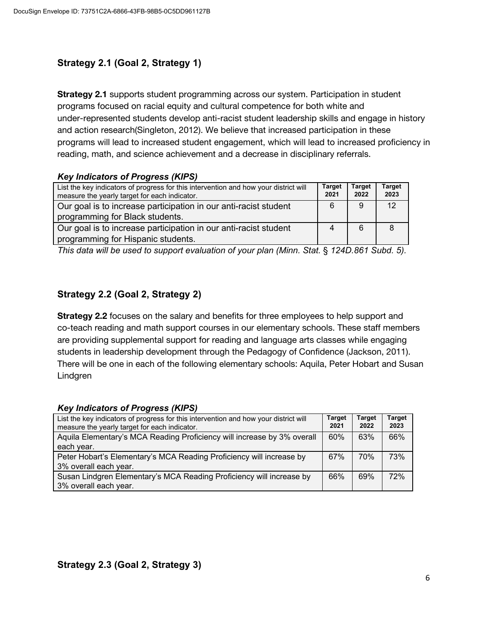## **Strategy 2.1 (Goal 2, Strategy 1)**

**Strategy 2.1** supports student programming across our system. Participation in student programs focused on racial equity and cultural competence for both white and under-represented students develop anti-racist student leadership skills and engage in history and action research(Singleton, 2012). We believe that increased participation in these programs will lead to increased student engagement, which will lead to increased proficiency in reading, math, and science achievement and a decrease in disciplinary referrals.

#### *Key Indicators of Progress (KIPS)*

| List the key indicators of progress for this intervention and how your district will<br>measure the yearly target for each indicator. | <b>Target</b><br>2021 | <b>Target</b><br>2022 | <b>Target</b><br>2023 |
|---------------------------------------------------------------------------------------------------------------------------------------|-----------------------|-----------------------|-----------------------|
| Our goal is to increase participation in our anti-racist student                                                                      | 6                     | -9                    |                       |
| programming for Black students.                                                                                                       |                       |                       |                       |
| Our goal is to increase participation in our anti-racist student                                                                      |                       | 6                     |                       |
| programming for Hispanic students.                                                                                                    |                       |                       |                       |

*This data will be used to support evaluation of your plan (Minn. Stat.* § *124D.861 Subd. 5).*

## **Strategy 2.2 (Goal 2, Strategy 2)**

**Strategy 2.2** focuses on the salary and benefits for three employees to help support and co-teach reading and math support courses in our elementary schools. These staff members are providing supplemental support for reading and language arts classes while engaging students in leadership development through the Pedagogy of Confidence (Jackson, 2011). There will be one in each of the following elementary schools: Aquila, Peter Hobart and Susan Lindgren

#### *Key Indicators of Progress (KIPS)*

| List the key indicators of progress for this intervention and how your district will<br>measure the yearly target for each indicator. | <b>Target</b><br>2021 | <b>Target</b><br>2022 | <b>Target</b><br>2023 |
|---------------------------------------------------------------------------------------------------------------------------------------|-----------------------|-----------------------|-----------------------|
| Aquila Elementary's MCA Reading Proficiency will increase by 3% overall                                                               | 60%                   | 63%                   | 66%                   |
| each year.                                                                                                                            |                       |                       |                       |
| Peter Hobart's Elementary's MCA Reading Proficiency will increase by                                                                  | 67%                   | <b>70%</b>            | 73%                   |
| 3% overall each year.                                                                                                                 |                       |                       |                       |
| Susan Lindgren Elementary's MCA Reading Proficiency will increase by                                                                  | 66%                   | 69%                   | 72%                   |
| 3% overall each year.                                                                                                                 |                       |                       |                       |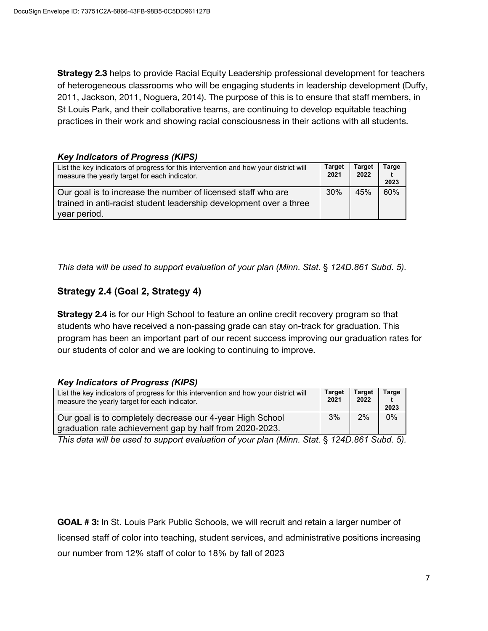**Strategy 2.3** helps to provide Racial Equity Leadership professional development for teachers of heterogeneous classrooms who will be engaging students in leadership development (Duffy, 2011, Jackson, 2011, Noguera, 2014). The purpose of this is to ensure that staff members, in St Louis Park, and their collaborative teams, are continuing to develop equitable teaching practices in their work and showing racial consciousness in their actions with all students.

#### *Key Indicators of Progress (KIPS)*

| List the key indicators of progress for this intervention and how your district will<br>measure the yearly target for each indicator. | <b>Target</b><br>2021 | Target<br>2022 | Targe<br>2023 |
|---------------------------------------------------------------------------------------------------------------------------------------|-----------------------|----------------|---------------|
| Our goal is to increase the number of licensed staff who are                                                                          | 30%                   | 45%            | 60%           |
| trained in anti-racist student leadership development over a three                                                                    |                       |                |               |
| year period.                                                                                                                          |                       |                |               |

*This data will be used to support evaluation of your plan (Minn. Stat.* § *124D.861 Subd. 5).*

## **Strategy 2.4 (Goal 2, Strategy 4)**

**Strategy 2.4** is for our High School to feature an online credit recovery program so that students who have received a non-passing grade can stay on-track for graduation. This program has been an important part of our recent success improving our graduation rates for our students of color and we are looking to continuing to improve.

#### *Key Indicators of Progress (KIPS)*

| List the key indicators of progress for this intervention and how your district will                                 | <b>Target</b> | Tarɑet | Tarɑe |
|----------------------------------------------------------------------------------------------------------------------|---------------|--------|-------|
| measure the yearly target for each indicator.                                                                        | 2021          | 2022   | 2023  |
| Our goal is to completely decrease our 4-year High School<br>graduation rate achievement gap by half from 2020-2023. | 3%            | 2%     | 0%    |

*This data will be used to support evaluation of your plan (Minn. Stat.* § *124D.861 Subd. 5).*

**GOAL # 3:** In St. Louis Park Public Schools, we will recruit and retain a larger number of licensed staff of color into teaching, student services, and administrative positions increasing our number from 12% staff of color to 18% by fall of 2023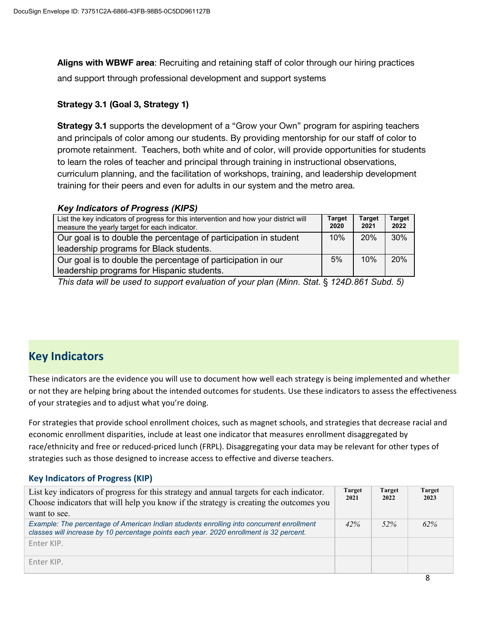**Aligns with WBWF area**: Recruiting and retaining staff of color through our hiring practices and support through professional development and support systems

#### **Strategy 3.1 (Goal 3, Strategy 1)**

**Strategy 3.1** supports the development of a "Grow your Own" program for aspiring teachers and principals of color among our students. By providing mentorship for our staff of color to promote retainment. Teachers, both white and of color, will provide opportunities for students to learn the roles of teacher and principal through training in instructional observations, curriculum planning, and the facilitation of workshops, training, and leadership development training for their peers and even for adults in our system and the metro area.

#### *Key Indicators of Progress (KIPS)*

| List the key indicators of progress for this intervention and how your district will<br>measure the yearly target for each indicator. | <b>Target</b><br>2020 | <b>Target</b><br>2021 | <b>Target</b><br>2022 |
|---------------------------------------------------------------------------------------------------------------------------------------|-----------------------|-----------------------|-----------------------|
| Our goal is to double the percentage of participation in student                                                                      | 10%                   | 20%                   | 30%                   |
| leadership programs for Black students.                                                                                               |                       |                       |                       |
| Our goal is to double the percentage of participation in our                                                                          | 5%                    | 10%                   | 20%                   |
| leadership programs for Hispanic students.                                                                                            |                       |                       |                       |
|                                                                                                                                       |                       |                       |                       |

*This data will be used to support evaluation of your plan (Minn. Stat.* § *124D.861 Subd. 5)*

# **Key Indicators**

These indicators are the evidence you will use to document how well each strategy is being implemented and whether or not they are helping bring about the intended outcomes for students. Use these indicators to assess the effectiveness of your strategies and to adjust what you're doing.

For strategies that provide school enrollment choices, such as magnet schools, and strategies that decrease racial and economic enrollment disparities, include at least one indicator that measures enrollment disaggregated by race/ethnicity and free or reduced-priced lunch (FRPL). Disaggregating your data may be relevant for other types of strategies such as those designed to increase access to effective and diverse teachers.

#### **Key Indicators of Progress (KIP)**

| List key indicators of progress for this strategy and annual targets for each indicator.<br>Choose indicators that will help you know if the strategy is creating the outcomes you<br>want to see. | <b>Target</b><br>2021 | <b>Target</b><br>2022 | <b>Target</b><br>2023 |
|----------------------------------------------------------------------------------------------------------------------------------------------------------------------------------------------------|-----------------------|-----------------------|-----------------------|
| Example: The percentage of American Indian students enrolling into concurrent enrollment<br>classes will increase by 10 percentage points each year. 2020 enrollment is 32 percent.                | 42%                   | 52%                   | 62%                   |
| Fnter KIP.                                                                                                                                                                                         |                       |                       |                       |
| Fnter KIP.                                                                                                                                                                                         |                       |                       |                       |